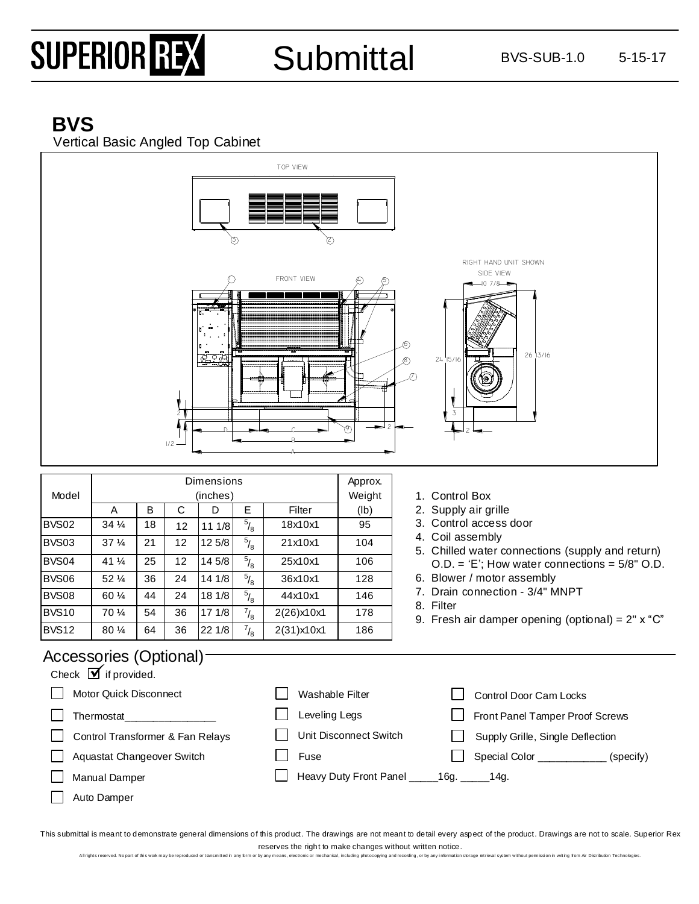# SUPERIOR REX

### Submittal BVS-SUB-1.0 5-15-17

### **BVS**

Vertical Basic Angled Top Cabinet



#### Accessories (Optional)

| Check $\blacksquare$ if provided. |                                              |                                         |
|-----------------------------------|----------------------------------------------|-----------------------------------------|
| Motor Quick Disconnect            | Washable Filter                              | Control Door Cam Locks                  |
| Thermostat                        | Leveling Legs                                | Front Panel Tamper Proof Screws         |
| Control Transformer & Fan Relays  | Unit Disconnect Switch                       | Supply Grille, Single Deflection        |
| Aquastat Changeover Switch        | Fuse                                         | Special Color ____________<br>(specify) |
| <b>Manual Damper</b>              | Heavy Duty Front Panel ______16g. ______14g. |                                         |
| Auto Damper                       |                                              |                                         |

This submittal is meant to demonstrate general dimensions of this product. The drawings are not meant to detail every aspect of the product. Drawings are not to scale. Superior Rex reserves the right to make changes without written notice.

All rights reserved. No part of this wok may be reproduced or transmitted in any form or by any means, electronic or mechanical, including photocopying and recording, or by any information storage retrieval system without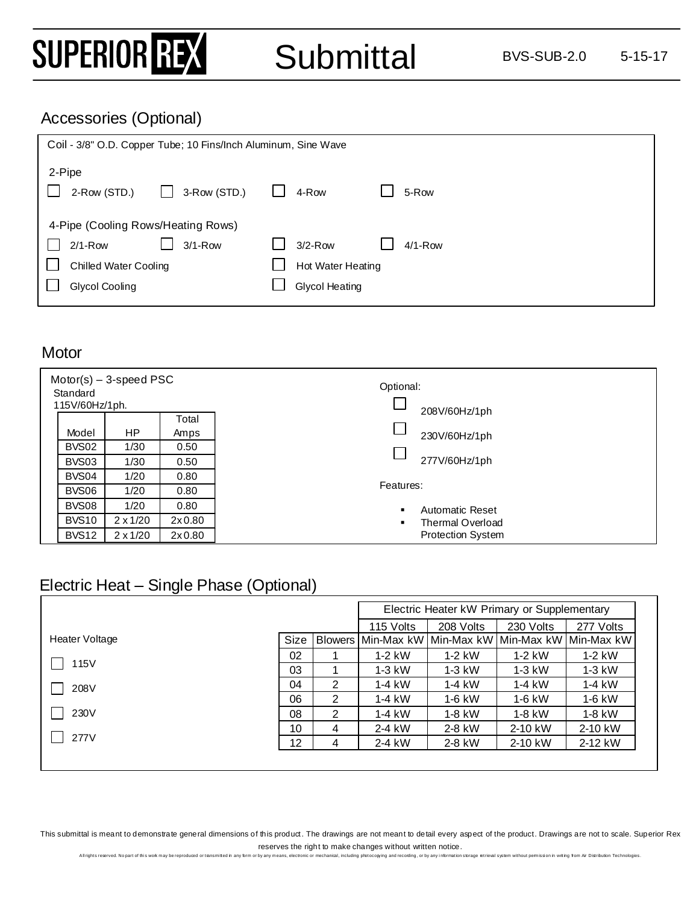## SUPERIOR REX

#### Accessories (Optional)

| Coil - 3/8" O.D. Copper Tube; 10 Fins/Inch Aluminum, Sine Wave |                        |  |  |
|----------------------------------------------------------------|------------------------|--|--|
| 2-Pipe                                                         |                        |  |  |
| 2-Row (STD.)<br>3-Row (STD.)                                   | 5-Row<br>4-Row         |  |  |
| 4-Pipe (Cooling Rows/Heating Rows)                             |                        |  |  |
| $3/1 - Row$<br>$2/1 - Row$                                     | $3/2-Row$<br>$4/1-Row$ |  |  |
| <b>Chilled Water Cooling</b>                                   | Hot Water Heating      |  |  |
| Glycol Cooling                                                 | <b>Glycol Heating</b>  |  |  |

#### **Motor**

| $Motor(s) - 3-speed PSC$<br>Standard<br>115V/60Hz/1ph. |              |                 | Optional:<br>208V/60Hz/1ph |                          |
|--------------------------------------------------------|--------------|-----------------|----------------------------|--------------------------|
|                                                        |              |                 | Total                      |                          |
|                                                        | Model        | <b>HP</b>       | Amps                       | 230V/60Hz/1ph            |
|                                                        | BVS02        | 1/30            | 0.50                       |                          |
|                                                        | BVS03        | 1/30            | 0.50                       | 277V/60Hz/1ph            |
|                                                        | BVS04        | 1/20            | 0.80                       |                          |
|                                                        | BVS06        | 1/20            | 0.80                       | Features:                |
|                                                        | BVS08        | 1/20            | 0.80                       | Automatic Reset          |
|                                                        | <b>BVS10</b> | $2 \times 1/20$ | 2x0.80                     | Thermal Overload         |
|                                                        | BVS12        | $2 \times 1/20$ | 2x0.80                     | <b>Protection System</b> |

#### Electric Heat – Single Phase (Optional)

|                |      |   |                                                     | Electric Heater kW Primary or Supplementary |           |           |
|----------------|------|---|-----------------------------------------------------|---------------------------------------------|-----------|-----------|
|                |      |   | 115 Volts                                           | 208 Volts                                   | 230 Volts | 277 Volts |
| Heater Voltage | Size |   | Blowers Min-Max kW Min-Max kW Min-Max kW Min-Max kW |                                             |           |           |
|                | 02   |   | $1-2$ kW                                            | $1-2$ kW                                    | $1-2$ kW  | $1-2$ kW  |
| 115V           | 03   |   | $1-3$ kW                                            | $1-3$ kW                                    | $1-3$ kW  | $1-3$ kW  |
| 208V           | 04   | 2 | 1-4 kW                                              | 1-4 kW                                      | $1-4$ kW  | 1-4 kW    |
|                | 06   | 2 | $1-4$ kW                                            | 1-6 kW                                      | $1-6$ kW  | 1-6 kW    |
| 230V           | 08   | 2 | 1-4 kW                                              | $1-8$ kW                                    | $1-8$ kW  | 1-8 kW    |
|                | 10   | 4 | 2-4 kW                                              | 2-8 kW                                      | 2-10 kW   | 2-10 kW   |
| 277V           | 12   | 4 | 2-4 kW                                              | 2-8 kW                                      | 2-10 kW   | 2-12 kW   |

This submittal is meant to demonstrate general dimensions of this product. The drawings are not meant to detail every aspect of the product. Drawings are not to scale. Superior Rex reserves the right to make changes without written notice.<br>rby any means, electronic or mechanical, including photocopying and recording, or by any information sto

All rights reserved. No part of this wok may be reproduced or tansmitted in any form or by any means, electronic or mechanical, including photocoping and recording, or by any information storage etrieval system without per